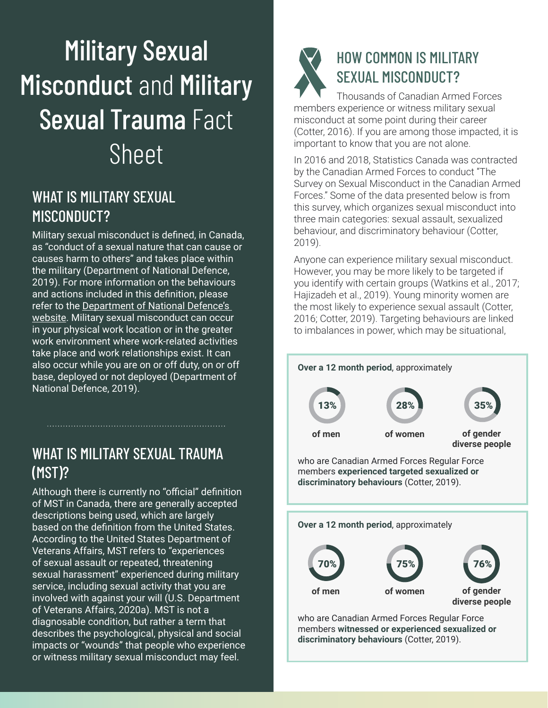# Military Sexual **Misconduct and Military** Sexual Trauma Fact Sheet

# WHAT IS MILITARY SEXUAL MISCONDUCT?

Military sexual misconduct is defined, in Canada, as "conduct of a sexual nature that can cause or causes harm to others" and takes place within the military (Department of National Defence, 2019). For more information on the behaviours and actions included in this definition, please refer to the [Department of National Defence's](https://www.canada.ca/en/department-national-defence/services/benefits-military/conflict-misconduct/operation-honour/orders-policies-directives/operation-honour-manual/use-of-terminology.html)  [website](https://www.canada.ca/en/department-national-defence/services/benefits-military/conflict-misconduct/operation-honour/orders-policies-directives/operation-honour-manual/use-of-terminology.html). Military sexual misconduct can occur in your physical work location or in the greater work environment where work-related activities take place and work relationships exist. It can also occur while you are on or off duty, on or off base, deployed or not deployed (Department of National Defence, 2019).

# WHAT IS MILITARY SEXUAL TRAUMA (MST)?

Although there is currently no "official" definition of MST in Canada, there are generally accepted descriptions being used, which are largely based on the definition from the United States. According to the United States Department of Veterans Affairs, MST refers to "experiences of sexual assault or repeated, threatening sexual harassment" experienced during military service, including sexual activity that you are involved with against your will (U.S. Department of Veterans Affairs, 2020a). MST is not a diagnosable condition, but rather a term that describes the psychological, physical and social impacts or "wounds" that people who experience or witness military sexual misconduct may feel.



# HOW COMMON IS MILITARY SEXUAL MISCONDUCT?

Thousands of Canadian Armed Forces members experience or witness military sexual misconduct at some point during their career (Cotter, 2016). If you are among those impacted, it is important to know that you are not alone.

In 2016 and 2018, Statistics Canada was contracted by the Canadian Armed Forces to conduct "The Survey on Sexual Misconduct in the Canadian Armed Forces." Some of the data presented below is from this survey, which organizes sexual misconduct into three main categories: sexual assault, sexualized behaviour, and discriminatory behaviour (Cotter, 2019).

Anyone can experience military sexual misconduct. However, you may be more likely to be targeted if you identify with certain groups (Watkins et al., 2017; Hajizadeh et al., 2019). Young minority women are the most likely to experience sexual assault (Cotter, 2016; Cotter, 2019). Targeting behaviours are linked to imbalances in power, which may be situational,



**discriminatory behaviours** (Cotter, 2019).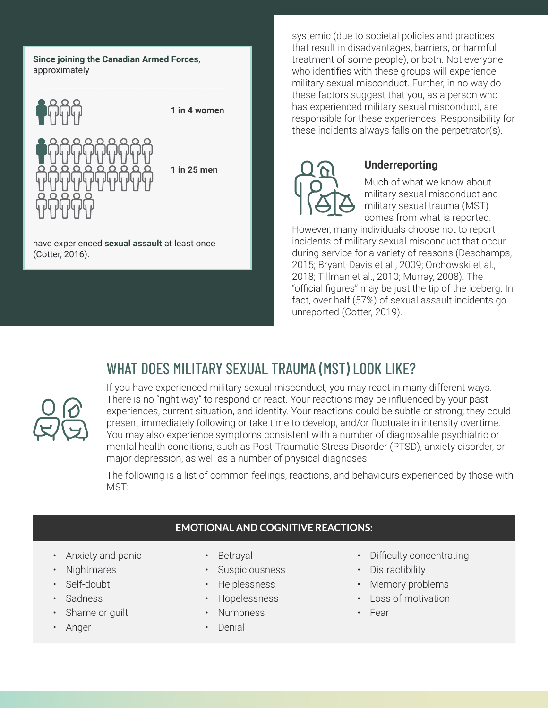**Since joining the Canadian Armed Forces**, approximately



**1 in 25 men**

have experienced **sexual assault** at least once (Cotter, 2016).

systemic (due to societal policies and practices that result in disadvantages, barriers, or harmful treatment of some people), or both. Not everyone who identifies with these groups will experience military sexual misconduct. Further, in no way do these factors suggest that you, as a person who has experienced military sexual misconduct, are responsible for these experiences. Responsibility for these incidents always falls on the perpetrator(s).



#### **Underreporting**

Much of what we know about military sexual misconduct and military sexual trauma (MST) comes from what is reported.

However, many individuals choose not to report incidents of military sexual misconduct that occur during service for a variety of reasons (Deschamps, 2015; Bryant-Davis et al., 2009; Orchowski et al., 2018; Tillman et al., 2010; Murray, 2008). The "official figures" may be just the tip of the iceberg. In fact, over half (57%) of sexual assault incidents go unreported (Cotter, 2019).

# WHAT DOES MILITARY SEXUAL TRAUMA (MST) LOOK LIKE?



If you have experienced military sexual misconduct, you may react in many different ways. There is no "right way" to respond or react. Your reactions may be influenced by your past experiences, current situation, and identity. Your reactions could be subtle or strong; they could present immediately following or take time to develop, and/or fluctuate in intensity overtime. You may also experience symptoms consistent with a number of diagnosable psychiatric or mental health conditions, such as Post-Traumatic Stress Disorder (PTSD), anxiety disorder, or major depression, as well as a number of physical diagnoses.

The following is a list of common feelings, reactions, and behaviours experienced by those with MST:

#### **EMOTIONAL AND COGNITIVE REACTIONS:**

- Anxiety and panic
- Nightmares
- Self-doubt
- **Sadness**
- Shame or guilt
- Anger
- **Betrayal**
- **Suspiciousness**
- Helplessness
- Hopelessness
- Numbness
- Denial
- Difficulty concentrating
- Distractibility
- Memory problems
- Loss of motivation
- Fear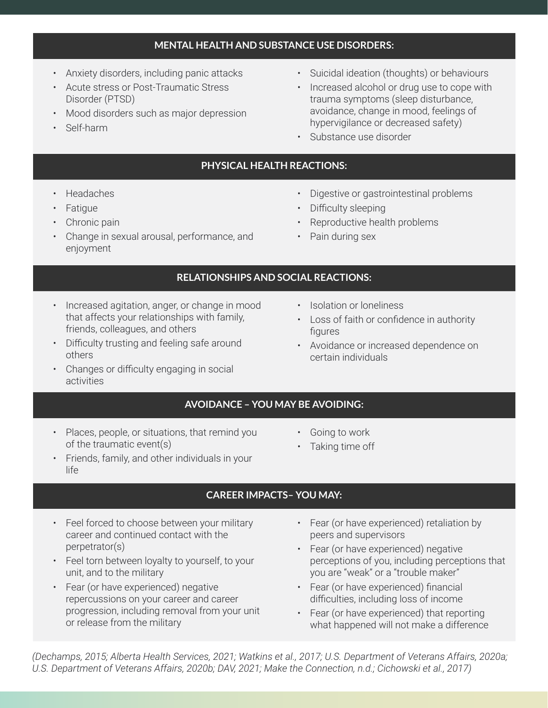#### **MENTAL HEALTH AND SUBSTANCE USE DISORDERS:**

- Anxiety disorders, including panic attacks
- Acute stress or Post-Traumatic Stress Disorder (PTSD)
- Mood disorders such as major depression
- Self-harm
- Suicidal ideation (thoughts) or behaviours
- Increased alcohol or drug use to cope with trauma symptoms (sleep disturbance, avoidance, change in mood, feelings of hypervigilance or decreased safety)
- Substance use disorder

#### **PHYSICAL HEALTH REACTIONS:**

- Headaches
- Fatigue
- Chronic pain
- Change in sexual arousal, performance, and enjoyment
- Digestive or gastrointestinal problems
- Difficulty sleeping
- Reproductive health problems
- Pain during sex

#### **RELATIONSHIPS AND SOCIAL REACTIONS:**

- Increased agitation, anger, or change in mood that affects your relationships with family, friends, colleagues, and others
- Difficulty trusting and feeling safe around others
- Changes or difficulty engaging in social activities
- Isolation or loneliness
- Loss of faith or confidence in authority figures
- Avoidance or increased dependence on certain individuals

#### **AVOIDANCE – YOU MAY BE AVOIDING:**

- Places, people, or situations, that remind you of the traumatic event(s)
- Going to work
- Taking time off
- Friends, family, and other individuals in your life
	- **CAREER IMPACTS– YOU MAY:**
- Feel forced to choose between your military career and continued contact with the perpetrator(s)
- Feel torn between loyalty to yourself, to your unit, and to the military
- Fear (or have experienced) negative repercussions on your career and career progression, including removal from your unit or release from the military
- Fear (or have experienced) retaliation by peers and supervisors
- Fear (or have experienced) negative perceptions of you, including perceptions that you are "weak" or a "trouble maker"
- Fear (or have experienced) financial difficulties, including loss of income
- Fear (or have experienced) that reporting what happened will not make a difference

*(Dechamps, 2015; Alberta Health Services, 2021; Watkins et al., 2017; U.S. Department of Veterans Affairs, 2020a; U.S. Department of Veterans Affairs, 2020b; DAV, 2021; Make the Connection, n.d.; Cichowski et al., 2017)*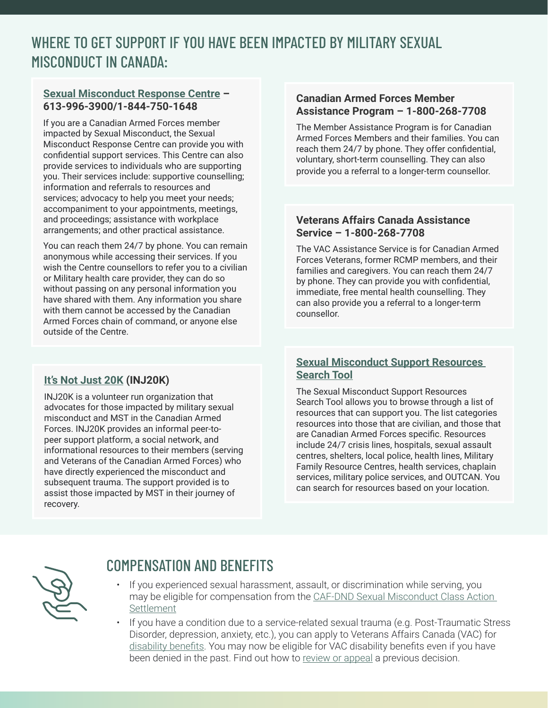# WHERE TO GET SUPPORT IF YOU HAVE BEEN IMPACTED BY MILITARY SEXUAL MISCONDUCT IN CANADA:

#### **[Sexual Misconduct Response Centre](https://www.canada.ca/en/department-national-defence/services/benefits-military/health-support/sexual-misconduct-response.html) – 613-996-3900/1-844-750-1648**

If you are a Canadian Armed Forces member impacted by Sexual Misconduct, the Sexual Misconduct Response Centre can provide you with confidential support services. This Centre can also provide services to individuals who are supporting you. Their services include: supportive counselling; information and referrals to resources and services; advocacy to help you meet your needs; accompaniment to your appointments, meetings, and proceedings; assistance with workplace arrangements; and other practical assistance.

You can reach them 24/7 by phone. You can remain anonymous while accessing their services. If you wish the Centre counsellors to refer you to a civilian or Military health care provider, they can do so without passing on any personal information you have shared with them. Any information you share with them cannot be accessed by the Canadian Armed Forces chain of command, or anyone else outside of the Centre.

#### **[It's Not Just 20K](https://inj20k.ca/) (INJ20K)**

INJ20K is a volunteer run organization that advocates for those impacted by military sexual misconduct and MST in the Canadian Armed Forces. INJ20K provides an informal peer-topeer support platform, a social network, and informational resources to their members (serving and Veterans of the Canadian Armed Forces) who have directly experienced the misconduct and subsequent trauma. The support provided is to assist those impacted by MST in their journey of recovery.

#### **Canadian Armed Forces Member Assistance Program – 1-800-268-7708**

The Member Assistance Program is for Canadian Armed Forces Members and their families. You can reach them 24/7 by phone. They offer confidential, voluntary, short-term counselling. They can also provide you a referral to a longer-term counsellor.

#### **Veterans Affairs Canada Assistance Service – 1-800-268-7708**

The VAC Assistance Service is for Canadian Armed Forces Veterans, former RCMP members, and their families and caregivers. You can reach them 24/7 by phone. They can provide you with confidential, immediate, free mental health counselling. They can also provide you a referral to a longer-term counsellor.

#### **[Sexual Misconduct Support Resources](https://www.canada.ca/en/department-national-defence/services/benefits-military/conflict-misconduct/operation-honour/sexual-misconduct-response-centre/resources-search-tool.html)  [Search Tool](https://www.canada.ca/en/department-national-defence/services/benefits-military/conflict-misconduct/operation-honour/sexual-misconduct-response-centre/resources-search-tool.html)**

The Sexual Misconduct Support Resources Search Tool allows you to browse through a list of resources that can support you. The list categories resources into those that are civilian, and those that are Canadian Armed Forces specific. Resources include 24/7 crisis lines, hospitals, sexual assault centres, shelters, local police, health lines, Military Family Resource Centres, health services, chaplain services, military police services, and OUTCAN. You can search for resources based on your location.



### COMPENSATION AND BENEFITS

- If you experienced sexual harassment, assault, or discrimination while serving, you may be eligible for compensation from the [CAF-DND Sexual Misconduct Class Action](https://www.caf-dndsexualmisconductclassaction.ca/)  [Settlement](https://www.caf-dndsexualmisconductclassaction.ca/)
- If you have a condition due to a service-related sexual trauma (e.g. Post-Traumatic Stress Disorder, depression, anxiety, etc.), you can apply to Veterans Affairs Canada (VAC) for [disability benefits](https://www.veterans.gc.ca/eng/financial-support/compensation-illness-injury/disability-benefits). You may now be eligible for VAC disability benefits even if you have been denied in the past. Find out how to [review or appeal](https://www.veterans.gc.ca/eng/health-support/mental-health-and-wellness/understanding-mental-health/sexual-trauma-during-service/schedule-t) a previous decision.